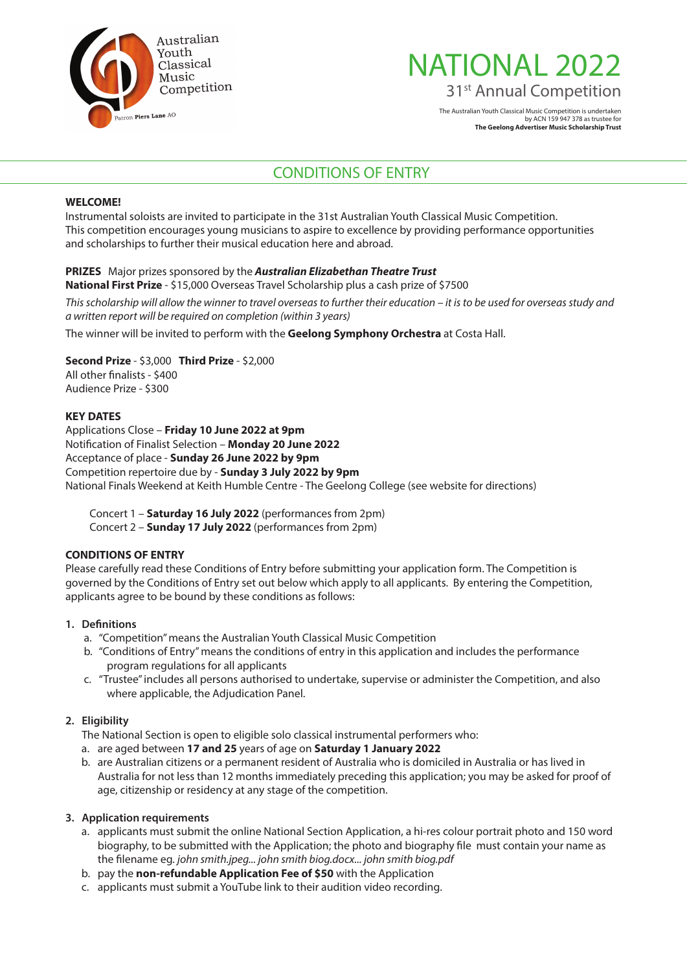

# NATIONAL 2022 31<sup>st</sup> Annual Competition

The Australian Youth Classical Music Competition is undertaken by ACN 159 947 378 as trustee for **The Geelong Advertiser Music Scholarship Trust**

# CONDITIONS OF ENTRY

#### **WELCOME!**

Instrumental soloists are invited to participate in the 31st Australian Youth Classical Music Competition. This competition encourages young musicians to aspire to excellence by providing performance opportunities and scholarships to further their musical education here and abroad.

#### **PRIZES** Major prizes sponsored by the *Australian Elizabethan Theatre Trust*

**National First Prize** - \$15,000 Overseas Travel Scholarship plus a cash prize of \$7500

*This scholarship will allow the winner to travel overseas to further their education – it is to be used for overseas study and a written report will be required on completion (within 3 years)*

The winner will be invited to perform with the **Geelong Symphony Orchestra** at Costa Hall.

# **Second Prize** - \$3,000 **Third Prize** - \$2,000

All other finalists - \$400 Audience Prize - \$300

#### **KEY DATES**

Applications Close – **Friday 10 June 2022 at 9pm** Notification of Finalist Selection – **Monday 20 June 2022** Acceptance of place - **Sunday 26 June 2022 by 9pm** Competition repertoire due by - **Sunday 3 July 2022 by 9pm** National Finals Weekend at Keith Humble Centre - The Geelong College (see website for directions)

Concert 1 – **Saturday 16 July 2022** (performances from 2pm) Concert 2 – **Sunday 17 July 2022** (performances from 2pm)

### **CONDITIONS OF ENTRY**

Please carefully read these Conditions of Entry before submitting your application form. The Competition is governed by the Conditions of Entry set out below which apply to all applicants. By entering the Competition, applicants agree to be bound by these conditions as follows:

#### **1. Definitions**

- a. "Competition" means the Australian Youth Classical Music Competition
- b. "Conditions of Entry" means the conditions of entry in this application and includes the performance program regulations for all applicants
- c. "Trustee" includes all persons authorised to undertake, supervise or administer the Competition, and also where applicable, the Adjudication Panel.

#### **2. Eligibility**

The National Section is open to eligible solo classical instrumental performers who:

- a. are aged between **17 and 25** years of age on **Saturday 1 January 2022**
- b. are Australian citizens or a permanent resident of Australia who is domiciled in Australia or has lived in Australia for not less than 12 months immediately preceding this application; you may be asked for proof of age, citizenship or residency at any stage of the competition.

#### **3. Application requirements**

- a. applicants must submit the online National Section Application, a hi-res colour portrait photo and 150 word biography, to be submitted with the Application; the photo and biography file must contain your name as the filename eg. *john smith.jpeg... john smith biog.docx... john smith biog.pdf*
- b. pay the **non-refundable Application Fee of \$50** with the Application
- c. applicants must submit a YouTube link to their audition video recording.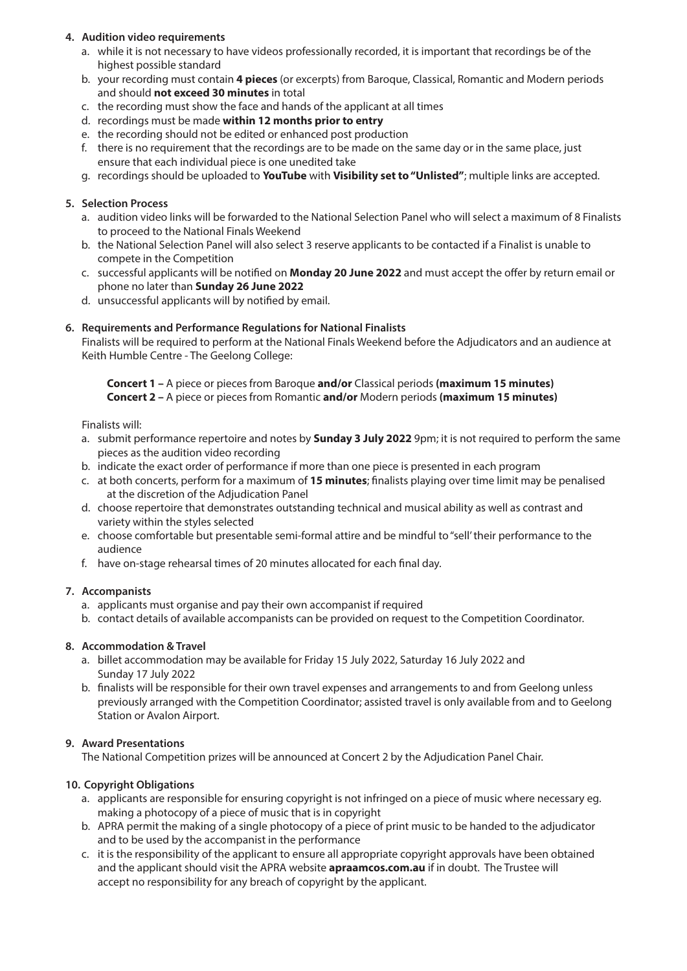### **4. Audition video requirements**

- a. while it is not necessary to have videos professionally recorded, it is important that recordings be of the highest possible standard
- b. your recording must contain **4 pieces** (or excerpts) from Baroque, Classical, Romantic and Modern periods and should **not exceed 30 minutes** in total
- c. the recording must show the face and hands of the applicant at all times
- d. recordings must be made **within 12 months prior to entry**
- e. the recording should not be edited or enhanced post production
- f. there is no requirement that the recordings are to be made on the same day or in the same place, just ensure that each individual piece is one unedited take
- g. recordings should be uploaded to **YouTube** with **Visibility set to "Unlisted"**; multiple links are accepted.

#### **5. Selection Process**

- a. audition video links will be forwarded to the National Selection Panel who will select a maximum of 8 Finalists to proceed to the National Finals Weekend
- b. the National Selection Panel will also select 3 reserve applicants to be contacted if a Finalist is unable to compete in the Competition
- c. successful applicants will be notified on **Monday 20 June 2022** and must accept the offer by return email or phone no later than **Sunday 26 June 2022**
- d. unsuccessful applicants will by notified by email.

## **6. Requirements and Performance Regulations for National Finalists**

Finalists will be required to perform at the National Finals Weekend before the Adjudicators and an audience at Keith Humble Centre - The Geelong College:

**Concert 1 –** A piece or pieces from Baroque **and/or** Classical periods **(maximum 15 minutes) Concert 2 –** A piece or pieces from Romantic **and/or** Modern periods **(maximum 15 minutes)**

Finalists will:

- a. submit performance repertoire and notes by **Sunday 3 July 2022** 9pm; it is not required to perform the same pieces as the audition video recording
- b. indicate the exact order of performance if more than one piece is presented in each program
- c. at both concerts, perform for a maximum of **15 minutes**; finalists playing over time limit may be penalised at the discretion of the Adjudication Panel
- d. choose repertoire that demonstrates outstanding technical and musical ability as well as contrast and variety within the styles selected
- e. choose comfortable but presentable semi-formal attire and be mindful to "sell' their performance to the audience
- f. have on-stage rehearsal times of 20 minutes allocated for each final day.

#### **7. Accompanists**

- a. applicants must organise and pay their own accompanist if required
- b. contact details of available accompanists can be provided on request to the Competition Coordinator.

#### **8. Accommodation & Travel**

- a. billet accommodation may be available for Friday 15 July 2022, Saturday 16 July 2022 and Sunday 17 July 2022
- b. finalists will be responsible for their own travel expenses and arrangements to and from Geelong unless previously arranged with the Competition Coordinator; assisted travel is only available from and to Geelong Station or Avalon Airport.

#### **9. Award Presentations**

The National Competition prizes will be announced at Concert 2 by the Adjudication Panel Chair.

## **10. Copyright Obligations**

- a. applicants are responsible for ensuring copyright is not infringed on a piece of music where necessary eg. making a photocopy of a piece of music that is in copyright
- b. APRA permit the making of a single photocopy of a piece of print music to be handed to the adjudicator and to be used by the accompanist in the performance
- c. it is the responsibility of the applicant to ensure all appropriate copyright approvals have been obtained and the applicant should visit the APRA website **apraamcos.com.au** if in doubt. The Trustee will accept no responsibility for any breach of copyright by the applicant.